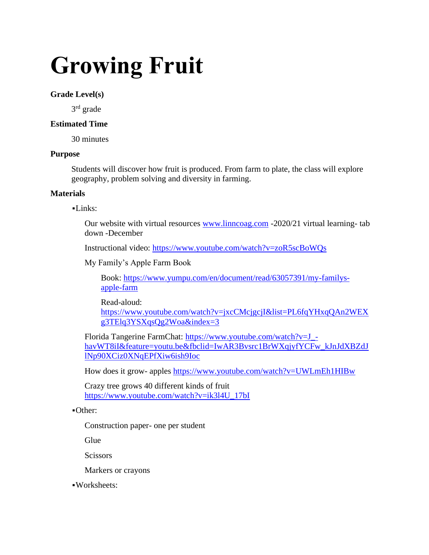# **Growing Fruit**

## **Grade Level(s)**

3<sup>rd</sup> grade

## **Estimated Time**

30 minutes

## **Purpose**

Students will discover how fruit is produced. From farm to plate, the class will explore geography, problem solving and diversity in farming.

## **Materials**

▪Links:

Our website with virtual resources [www.linncoag.com](http://www.linncoag.com/) -2020/21 virtual learning- tab down -December

Instructional video:<https://www.youtube.com/watch?v=zoR5scBoWQs>

My Family's Apple Farm Book

Book: [https://www.yumpu.com/en/document/read/63057391/my-familys](https://www.yumpu.com/en/document/read/63057391/my-familys-apple-farm)[apple-farm](https://www.yumpu.com/en/document/read/63057391/my-familys-apple-farm)

Read-aloud: [https://www.youtube.com/watch?v=jxcCMcjgcjI&list=PL6fqYHxqQAn2WEX](https://www.youtube.com/watch?v=jxcCMcjgcjI&list=PL6fqYHxqQAn2WEXg3TElq3YSXqsQg2Woa&index=3) [g3TElq3YSXqsQg2Woa&index=3](https://www.youtube.com/watch?v=jxcCMcjgcjI&list=PL6fqYHxqQAn2WEXg3TElq3YSXqsQg2Woa&index=3)

Florida Tangerine FarmChat: [https://www.youtube.com/watch?v=J\\_](https://www.youtube.com/watch?v=J_-havWT8iI&feature=youtu.be&fbclid=IwAR3Bvsrc1BrWXqjyfYCFw_kJnJdXBZdJlNp90XCiz0XNqEPfXiw6ish9Ioc) [havWT8iI&feature=youtu.be&fbclid=IwAR3Bvsrc1BrWXqjyfYCFw\\_kJnJdXBZdJ](https://www.youtube.com/watch?v=J_-havWT8iI&feature=youtu.be&fbclid=IwAR3Bvsrc1BrWXqjyfYCFw_kJnJdXBZdJlNp90XCiz0XNqEPfXiw6ish9Ioc) [lNp90XCiz0XNqEPfXiw6ish9Ioc](https://www.youtube.com/watch?v=J_-havWT8iI&feature=youtu.be&fbclid=IwAR3Bvsrc1BrWXqjyfYCFw_kJnJdXBZdJlNp90XCiz0XNqEPfXiw6ish9Ioc)

How does it grow- apples<https://www.youtube.com/watch?v=UWLmEh1HIBw>

Crazy tree grows 40 different kinds of fruit [https://www.youtube.com/watch?v=ik3l4U\\_17bI](https://www.youtube.com/watch?v=ik3l4U_17bI)

▪Other:

Construction paper- one per student

Glue

**Scissors** 

Markers or crayons

▪Worksheets: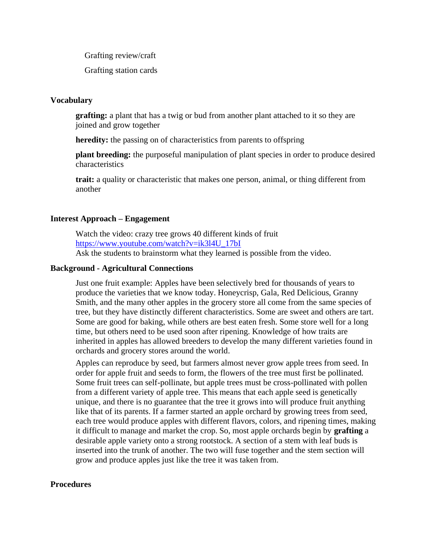Grafting review/craft

Grafting station cards

### **Vocabulary**

**grafting:** a plant that has a twig or bud from another plant attached to it so they are joined and grow together

**heredity:** the passing on of characteristics from parents to offspring

**plant breeding:** the purposeful manipulation of plant species in order to produce desired characteristics

**trait:** a quality or characteristic that makes one person, animal, or thing different from another

#### **Interest Approach – Engagement**

Watch the video: crazy tree grows 40 different kinds of fruit [https://www.youtube.com/watch?v=ik3l4U\\_17bI](https://www.youtube.com/watch?v=ik3l4U_17bI) Ask the students to brainstorm what they learned is possible from the video.

#### **Background - Agricultural Connections**

Just one fruit example: Apples have been selectively bred for thousands of years to produce the varieties that we know today. Honeycrisp, Gala, Red Delicious, Granny Smith, and the many other apples in the grocery store all come from the same species of tree, but they have distinctly different characteristics. Some are sweet and others are tart. Some are good for baking, while others are best eaten fresh. Some store well for a long time, but others need to be used soon after ripening. Knowledge of how traits are inherited in apples has allowed breeders to develop the many different varieties found in orchards and grocery stores around the world.

Apples can reproduce by seed, but farmers almost never grow apple trees from seed. In order for apple fruit and seeds to form, the flowers of the tree must first be pollinated. Some fruit trees can self-pollinate, but apple trees must be cross-pollinated with pollen from a different variety of apple tree. This means that each apple seed is genetically unique, and there is no guarantee that the tree it grows into will produce fruit anything like that of its parents. If a farmer started an apple orchard by growing trees from seed, each tree would produce apples with different flavors, colors, and ripening times, making it difficult to manage and market the crop. So, most apple orchards begin by **grafting** a desirable apple variety onto a strong rootstock. A section of a stem with leaf buds is inserted into the trunk of another. The two will fuse together and the stem section will grow and produce apples just like the tree it was taken from.

#### **Procedures**